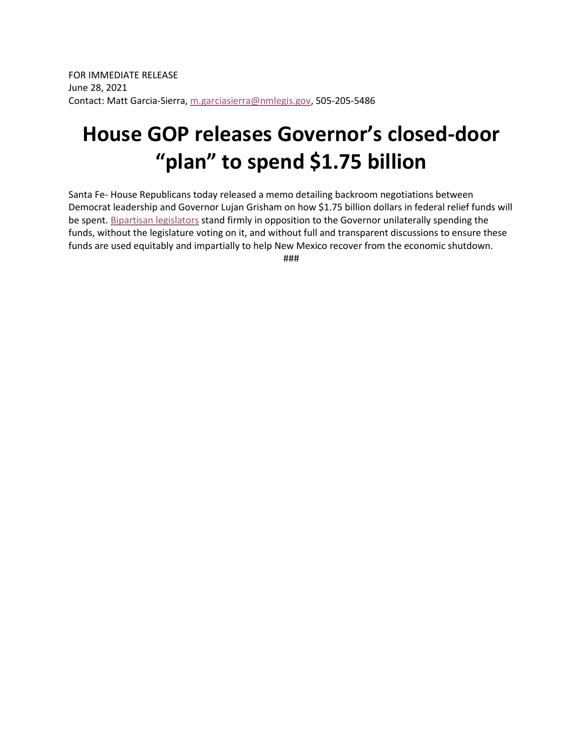## **House GOP releases Governor's closed-door "plan" to spend \$1.75 billion**

Santa Fe- House Republicans today released a memo detailing backroom negotiations between Democrat leadership and Governor Lujan Grisham on how \$1.75 billion dollars in federal relief funds will be spent. [Bipartisan legislators](https://twitter.com/CivilRightsNM/status/1409658824030494729) stand firmly in opposition to the Governor unilaterally spending the funds, without the legislature voting on it, and without full and transparent discussions to ensure these funds are used equitably and impartially to help New Mexico recover from the economic shutdown.

###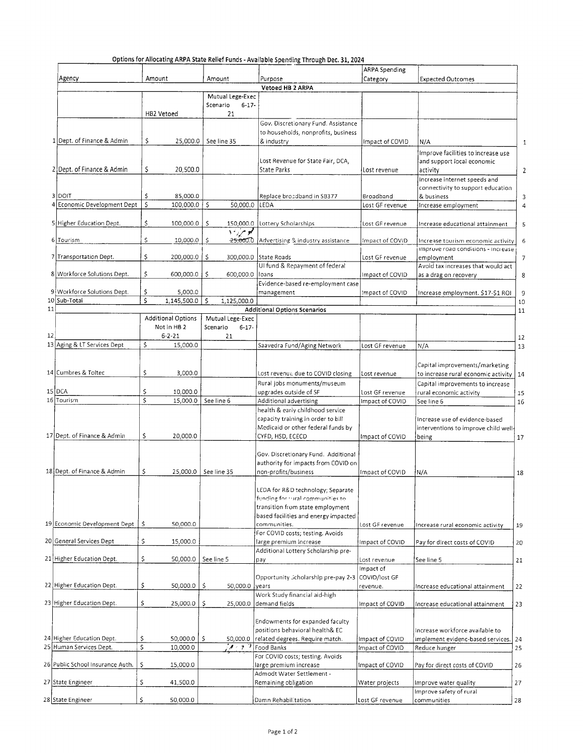| Agency                           | Amount                                  | Amount                            | Purpose                                                                    | <b>ARPA Spending</b><br>Category | <b>Expected Outcomes</b>             |
|----------------------------------|-----------------------------------------|-----------------------------------|----------------------------------------------------------------------------|----------------------------------|--------------------------------------|
|                                  |                                         |                                   | Vetoed HB 2 ARPA                                                           |                                  |                                      |
|                                  |                                         | Mutual Lege-Exec                  |                                                                            |                                  |                                      |
|                                  |                                         | Scenario<br>$6 - 17 -$            |                                                                            |                                  |                                      |
|                                  | HB2 Vetoed                              | 21                                |                                                                            |                                  |                                      |
|                                  |                                         |                                   | Gov. Discretionary Fund. Assistance                                        |                                  |                                      |
|                                  |                                         |                                   | to households, nonprofits, business                                        |                                  |                                      |
| 1 Dept. of Finance & Admin       | \$<br>25,000.0                          | See line 35                       | & industry                                                                 | Impact of COVID                  | N/A                                  |
|                                  |                                         |                                   |                                                                            |                                  | Improve facilities to increase use   |
|                                  |                                         |                                   | Lost Revenue for State Fair, DCA,                                          |                                  | and support local economic           |
| 2 Dept. of Finance & Admin       | \$<br>20,500.0                          |                                   | State Parks                                                                | Lost revenue                     | activity                             |
|                                  |                                         |                                   |                                                                            |                                  | Increase internet speeds and         |
| 3 DOIT                           |                                         |                                   |                                                                            |                                  | connectivity to support education    |
| Economic Development Dept        | \$<br>85,000.0<br>Ś<br>$100,000.0$   \$ | 50,000.0 LEDA                     | Replace broadband in SB377                                                 | Broadband<br>Lost GF revenue     | & business                           |
|                                  |                                         |                                   |                                                                            |                                  | Increase employment                  |
| 5 Higher Education Dept.         | \$<br>100,000.0                         | \$                                | 150,000.0 Lottery Scholarships                                             | Lost GF revenue                  | Increase educational attainment      |
|                                  |                                         | مو مړن د                          |                                                                            |                                  |                                      |
| 6 Tourism                        | \$<br>10,000.0                          | \$<br>$-25,000.0$                 | Advertising & industry assistance                                          | Impact of COVID                  | Increase tourism economic activity   |
|                                  |                                         |                                   |                                                                            |                                  | improve road conditions - Increase   |
| 7 Transportation Dept.           | \$<br>200,000.0                         | \$                                | 300,000.0 State Roads                                                      | Lost GF revenue                  | employment                           |
|                                  |                                         |                                   | UI fund & Repayment of federal                                             |                                  | Avoid tax increases that would act   |
| 8 Workforce Solutions Dept.      | \$<br>$600,000.0$ $\frac{1}{5}$         | 600,000.0                         | loans                                                                      | Impact of COVID                  | as a drag on recovery                |
|                                  |                                         |                                   | Evidence-based re-employment case                                          |                                  |                                      |
| 9 Workforce Solutions Dept.      | \$<br>5,000.0                           |                                   | management                                                                 | Impact of COVID                  | Increase employment. \$17-\$1 ROI    |
| 10 Sub-Total                     | $\overline{\mathsf{s}}$<br>1,145,500.0  | Ŝ.<br>1,125,000.0                 |                                                                            |                                  |                                      |
|                                  |                                         |                                   | <b>Additional Options Scenarios</b>                                        |                                  |                                      |
|                                  | <b>Additional Options</b>               | Mutual Lege-Exec                  |                                                                            |                                  |                                      |
|                                  | Not in HB <sub>2</sub>                  | Scenario<br>$6 - 17$              |                                                                            |                                  |                                      |
|                                  | $6 - 2 - 21$                            | 21                                |                                                                            |                                  |                                      |
| 13 Aging & LT Services Dept      | \$<br>15,000.0                          |                                   | Saavedra Fund/Aging Network                                                | Lost GF revenue                  | N/A                                  |
|                                  |                                         |                                   |                                                                            |                                  |                                      |
|                                  |                                         |                                   |                                                                            |                                  | Capital improvements/marketing       |
| 14 Cumbres & Toltec              | \$<br>3,000.0                           |                                   | Lost revenue due to COVID closing                                          | Lost revenue                     | to increase rural economic activity  |
|                                  |                                         |                                   | Rural jobs monuments/museum                                                |                                  | Capital improvements to increase     |
| $15$ DCA                         | \$<br>10,000.0                          |                                   | upgrades outside of SF                                                     | Lost GF revenue                  | rural economic activity              |
| 16 Tourism                       | \$<br>15,000.0                          | See line 6                        | Additional advertising                                                     | Impact of COVID                  | See line 6                           |
|                                  |                                         |                                   | health & early childhood service                                           |                                  |                                      |
|                                  |                                         |                                   | capacity training in order to bill                                         |                                  | Increase use of evidence-based       |
| 17 Dept. of Finance & Admin      | \$                                      |                                   | Medicaid or other federal funds by                                         |                                  | interventions to improve child well- |
|                                  | 20,000.0                                |                                   | CYFD, HSD, ECECD                                                           | Impact of COVID                  | being                                |
|                                  |                                         |                                   |                                                                            |                                  |                                      |
|                                  |                                         |                                   | Gov. Discretionary Fund. Additional<br>authority for impacts from COVID on |                                  |                                      |
| 18 Dept. of Finance & Admin      | \$<br>25,000.0                          | See line 35                       | non-profits/business                                                       | Impact of COVID                  |                                      |
|                                  |                                         |                                   |                                                                            |                                  | N/A                                  |
|                                  |                                         |                                   | LEDA for R&D technology; Separate                                          |                                  |                                      |
|                                  |                                         |                                   | funding for tural communities to                                           |                                  |                                      |
|                                  |                                         |                                   | transition from state employment                                           |                                  |                                      |
|                                  |                                         |                                   | based facilities and energy impacted                                       |                                  |                                      |
| 19 Economic Development Dept     | \$<br>50,000.0                          |                                   | communities.                                                               | Lost GF revenue                  | Increase rural economic activity     |
|                                  |                                         |                                   | For COVID costs; testing. Avoids                                           |                                  |                                      |
| 20 General Services Dept         | \$<br>15,000.0                          |                                   | large premium increase                                                     | Impact of COVID                  | Pay for direct costs of COVID        |
|                                  |                                         |                                   | Additional Lottery Scholarship pre-                                        |                                  |                                      |
| 21 Higher Education Dept.        | \$<br>50,000.0                          | See line 5                        | pay                                                                        | Lost revenue                     | See line 5                           |
|                                  |                                         |                                   |                                                                            | Impact of                        |                                      |
|                                  |                                         |                                   | Opportunity Scholarship pre-pay 2-3                                        | COVID/lost GF                    |                                      |
| 22 Higher Education Dept.        | \$<br>50,000.0                          | \$<br>50,000.0 years              |                                                                            | revenue.                         | Increase educational attainment      |
|                                  |                                         |                                   | Work Study financial aid-high                                              |                                  |                                      |
| 23 Higher Education Dept.        | \$<br>25,000.0                          | \$<br>25,000.0                    | demand fields                                                              | Impact of COVID                  | Increase educational attainment      |
|                                  |                                         |                                   |                                                                            |                                  |                                      |
|                                  |                                         |                                   | Endowments for expanded faculty                                            |                                  |                                      |
|                                  |                                         |                                   | positions behavioral health& EC                                            |                                  | Increase workforce available to      |
| 24 Higher Education Dept.        | \$<br>50,000.0                          | Ŝ.<br>50,000.0                    | related degrees. Require match.                                            | Impact of COVID                  | implement evidenc-based services.    |
| 25 Human Services Dept.          | \$<br>10,000.0                          | $\overline{A}$ and $\overline{A}$ | Food Banks                                                                 | Impact of COVID                  | Reduce hunger                        |
|                                  |                                         |                                   | For COVID costs; testing. Avoids                                           |                                  |                                      |
| 26 Public School Insurance Auth. | \$<br>15,000.0                          |                                   | large premium increase                                                     | impact of COVID                  | Pay for direct costs of COVID        |
|                                  |                                         |                                   | Admodt Water Settlement -                                                  |                                  |                                      |
| 27 State Engineer                | \$<br>41,500.0                          |                                   | Remaining obligation                                                       | Water projects                   | Improve water quality                |
|                                  |                                         |                                   |                                                                            |                                  | Improve safety of rural              |
| 28 State Engineer                | \$<br>50,000.0                          |                                   | Damn Rehabilitation                                                        | Lost GF revenue                  | communities                          |

## $Q$ ntion  $\epsilon$  for Alle لندل  $\overline{1}$  $\lambda$  and the field  $\lambda$  $\mathbf{r}$  and  $\mathbf{r}$  is  $\sim$  $-22.22$  $\overline{1}$  $\mathbf{u}$  and  $\mathbf{v}$